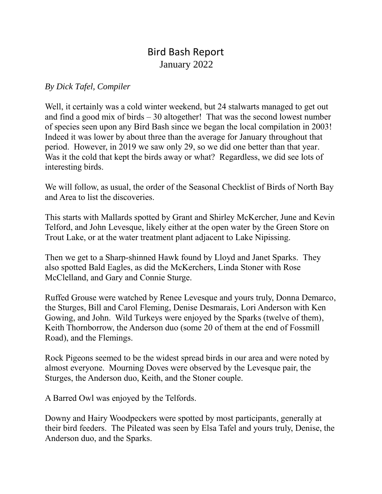## Bird Bash Report January 2022

## *By Dick Tafel, Compiler*

Well, it certainly was a cold winter weekend, but 24 stalwarts managed to get out and find a good mix of birds  $-30$  altogether! That was the second lowest number of species seen upon any Bird Bash since we began the local compilation in 2003! Indeed it was lower by about three than the average for January throughout that period. However, in 2019 we saw only 29, so we did one better than that year. Was it the cold that kept the birds away or what? Regardless, we did see lots of interesting birds.

We will follow, as usual, the order of the Seasonal Checklist of Birds of North Bay and Area to list the discoveries.

This starts with Mallards spotted by Grant and Shirley McKercher, June and Kevin Telford, and John Levesque, likely either at the open water by the Green Store on Trout Lake, or at the water treatment plant adjacent to Lake Nipissing.

Then we get to a Sharp-shinned Hawk found by Lloyd and Janet Sparks. They also spotted Bald Eagles, as did the McKerchers, Linda Stoner with Rose McClelland, and Gary and Connie Sturge.

Ruffed Grouse were watched by Renee Levesque and yours truly, Donna Demarco, the Sturges, Bill and Carol Fleming, Denise Desmarais, Lori Anderson with Ken Gowing, and John. Wild Turkeys were enjoyed by the Sparks (twelve of them), Keith Thornborrow, the Anderson duo (some 20 of them at the end of Fossmill Road), and the Flemings.

Rock Pigeons seemed to be the widest spread birds in our area and were noted by almost everyone. Mourning Doves were observed by the Levesque pair, the Sturges, the Anderson duo, Keith, and the Stoner couple.

A Barred Owl was enjoyed by the Telfords.

Downy and Hairy Woodpeckers were spotted by most participants, generally at their bird feeders. The Pileated was seen by Elsa Tafel and yours truly, Denise, the Anderson duo, and the Sparks.